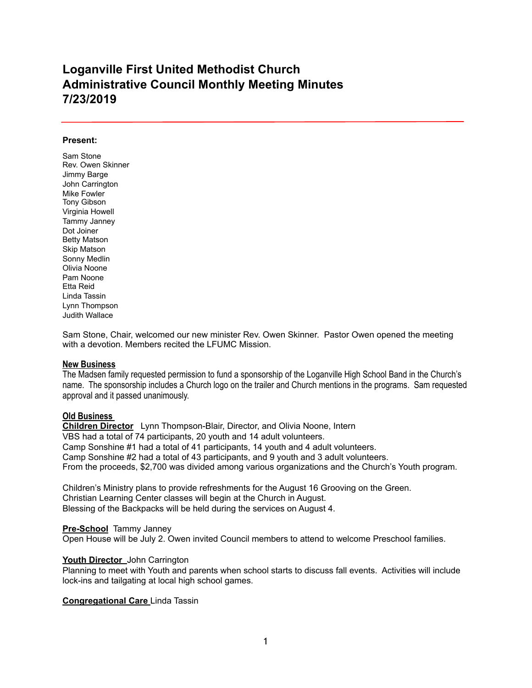# **Loganville First United Methodist Church Administrative Council Monthly Meeting Minutes 7/23/2019**

#### **Present:**

Sam Stone Rev. Owen Skinner Jimmy Barge John Carrington Mike Fowler Tony Gibson Virginia Howell Tammy Janney Dot Joiner Betty Matson Skip Matson Sonny Medlin Olivia Noone Pam Noone Etta Reid Linda Tassin Lynn Thompson Judith Wallace

Sam Stone, Chair, welcomed our new minister Rev. Owen Skinner. Pastor Owen opened the meeting with a devotion. Members recited the LFUMC Mission.

### **New Business**

The Madsen family requested permission to fund a sponsorship of the Loganville High School Band in the Church's name. The sponsorship includes a Church logo on the trailer and Church mentions in the programs. Sam requested approval and it passed unanimously.

# **Old Business**

**Children Director** Lynn Thompson-Blair, Director, and Olivia Noone, Intern VBS had a total of 74 participants, 20 youth and 14 adult volunteers. Camp Sonshine #1 had a total of 41 participants, 14 youth and 4 adult volunteers. Camp Sonshine #2 had a total of 43 participants, and 9 youth and 3 adult volunteers. From the proceeds, \$2,700 was divided among various organizations and the Church's Youth program.

Children's Ministry plans to provide refreshments for the August 16 Grooving on the Green. Christian Learning Center classes will begin at the Church in August. Blessing of the Backpacks will be held during the services on August 4.

### **Pre-School** Tammy Janney

Open House will be July 2. Owen invited Council members to attend to welcome Preschool families.

# **Youth Director** John Carrington

Planning to meet with Youth and parents when school starts to discuss fall events. Activities will include lock-ins and tailgating at local high school games.

### **Congregational Care** Linda Tassin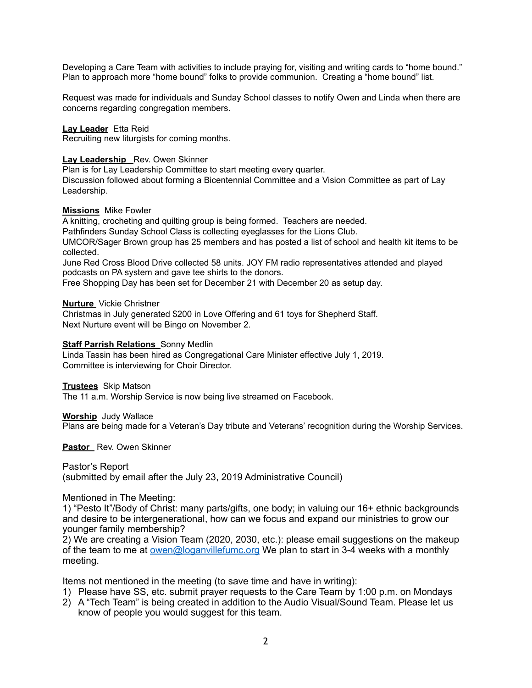Developing a Care Team with activities to include praying for, visiting and writing cards to "home bound." Plan to approach more "home bound" folks to provide communion. Creating a "home bound" list.

Request was made for individuals and Sunday School classes to notify Owen and Linda when there are concerns regarding congregation members.

**Lay Leader** Etta Reid

Recruiting new liturgists for coming months.

## **Lay Leadership** Rev. Owen Skinner

Plan is for Lay Leadership Committee to start meeting every quarter.

Discussion followed about forming a Bicentennial Committee and a Vision Committee as part of Lay Leadership.

## **Missions**Mike Fowler

A knitting, crocheting and quilting group is being formed. Teachers are needed.

Pathfinders Sunday School Class is collecting eyeglasses for the Lions Club.

UMCOR/Sager Brown group has 25 members and has posted a list of school and health kit items to be collected.

June Red Cross Blood Drive collected 58 units. JOY FM radio representatives attended and played podcasts on PA system and gave tee shirts to the donors.

Free Shopping Day has been set for December 21 with December 20 as setup day.

## **Nurture** Vickie Christner

Christmas in July generated \$200 in Love Offering and 61 toys for Shepherd Staff. Next Nurture event will be Bingo on November 2.

## **Staff Parrish Relations** Sonny Medlin

Linda Tassin has been hired as Congregational Care Minister effective July 1, 2019. Committee is interviewing for Choir Director.

### **Trustees**Skip Matson

The 11 a.m. Worship Service is now being live streamed on Facebook.

**Worship**Judy Wallace Plans are being made for a Veteran's Day tribute and Veterans' recognition during the Worship Services.

**Pastor** Rev. Owen Skinner

Pastor's Report (submitted by email after the July 23, 2019 Administrative Council)

# Mentioned in The Meeting:

1) "Pesto It"/Body of Christ: many parts/gifts, one body; in valuing our 16+ ethnic backgrounds and desire to be intergenerational, how can we focus and expand our ministries to grow our younger family membership?

2) We are creating a Vision Team (2020, 2030, etc.): please email suggestions on the makeup of the team to me at [owen@loganvillefumc.org](mailto:owen@loganvillefumc.org) We plan to start in 3-4 weeks with a monthly meeting.

Items not mentioned in the meeting (to save time and have in writing):

- 1) Please have SS, etc. submit prayer requests to the Care Team by 1:00 p.m. on Mondays
- 2) A "Tech Team" is being created in addition to the Audio Visual/Sound Team. Please let us know of people you would suggest for this team.